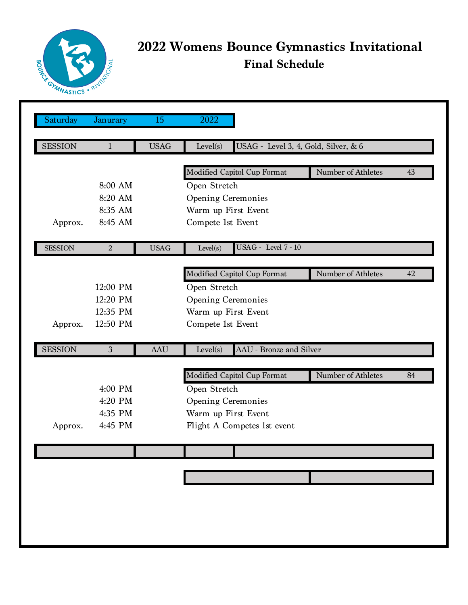

## **2022 Womens Bounce Gymnastics Invitational Final Schedule**

| Saturday       | Janurary         | 15          | 2022                                             |                    |    |
|----------------|------------------|-------------|--------------------------------------------------|--------------------|----|
|                |                  |             |                                                  |                    |    |
| <b>SESSION</b> | $\mathbf{1}$     | <b>USAG</b> | USAG - Level 3, 4, Gold, Silver, & 6<br>Level(s) |                    |    |
|                |                  |             | Modified Capitol Cup Format                      | Number of Athletes | 43 |
|                | 8:00 AM          |             | Open Stretch                                     |                    |    |
|                | 8:20 AM          |             | <b>Opening Ceremonies</b>                        |                    |    |
|                | 8:35 AM          |             | Warm up First Event                              |                    |    |
| Approx.        | 8:45 AM          |             | Compete 1st Event                                |                    |    |
|                |                  |             |                                                  |                    |    |
| <b>SESSION</b> | $\boldsymbol{2}$ | <b>USAG</b> | <b>USAG</b> - Level 7 - 10<br>Level(s)           |                    |    |
|                |                  |             |                                                  | Number of Athletes |    |
|                |                  |             | Modified Capitol Cup Format                      |                    | 42 |
|                | 12:00 PM         |             | Open Stretch                                     |                    |    |
|                | 12:20 PM         |             | <b>Opening Ceremonies</b>                        |                    |    |
|                | 12:35 PM         |             | Warm up First Event                              |                    |    |
| Approx.        | 12:50 PM         |             | Compete 1st Event                                |                    |    |
| <b>SESSION</b> | 3                | <b>AAU</b>  | AAU - Bronze and Silver<br>Level(s)              |                    |    |
|                |                  |             |                                                  |                    |    |
|                |                  |             | Modified Capitol Cup Format                      | Number of Athletes | 84 |
|                | 4:00 PM          |             | Open Stretch                                     |                    |    |
|                | 4:20 PM          |             | <b>Opening Ceremonies</b>                        |                    |    |
|                | 4:35 PM          |             | Warm up First Event                              |                    |    |
| Approx.        | 4:45 PM          |             | Flight A Competes 1st event                      |                    |    |
|                |                  |             |                                                  |                    |    |
|                |                  |             |                                                  |                    |    |
|                |                  |             |                                                  |                    |    |
|                |                  |             |                                                  |                    |    |
|                |                  |             |                                                  |                    |    |
|                |                  |             |                                                  |                    |    |
|                |                  |             |                                                  |                    |    |